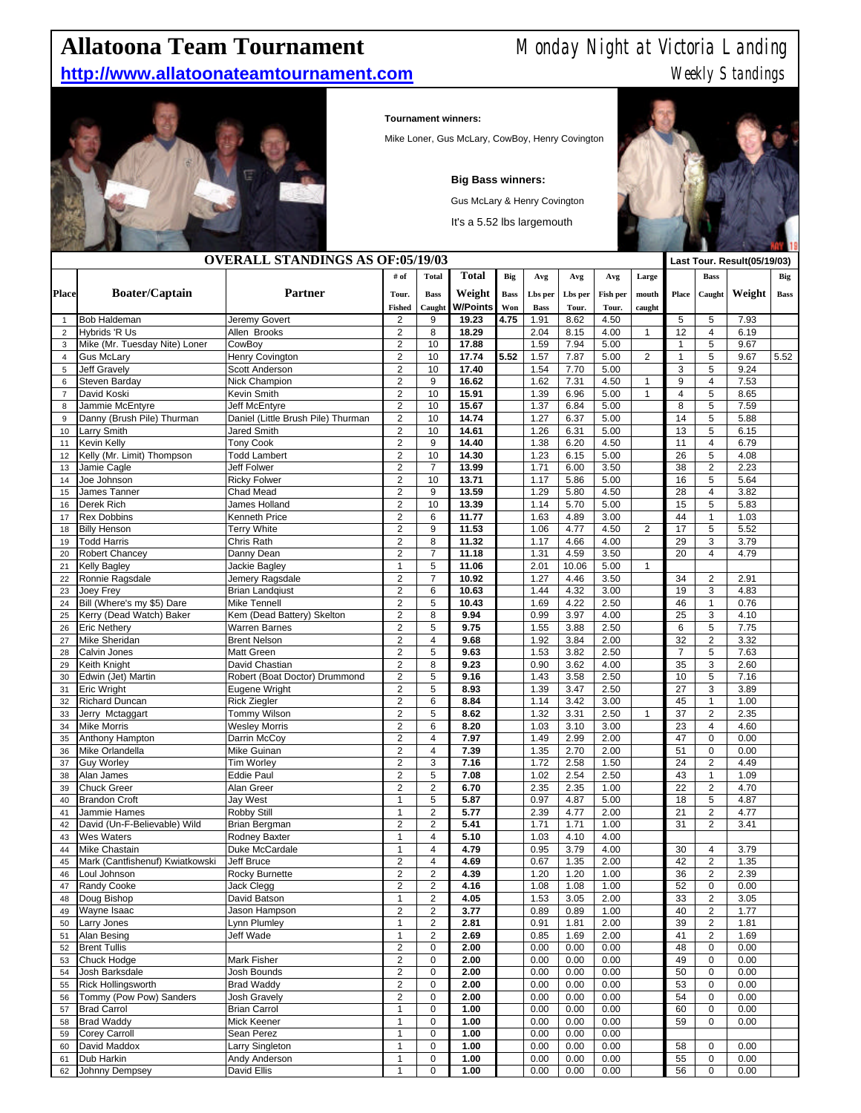## **Allatoona Team Tournament** Monday Night at Victoria Landing

## **http://www.allatoonateamtournament.com** Meekly Standings



## **Tournament winners:**

Mike Loner, Gus McLary, CowBoy, Henry Covington

**Big Bass winners:**

Gus McLary & Henry Covington

It's a 5.52 lbs largemouth



| <b>OVERALL STANDINGS AS OF:05/19/03</b> |                                    |                                    |                                |                         |              |             |             |         |          |                | Last Tour. Result(05/19/03) |                         |        |             |
|-----------------------------------------|------------------------------------|------------------------------------|--------------------------------|-------------------------|--------------|-------------|-------------|---------|----------|----------------|-----------------------------|-------------------------|--------|-------------|
|                                         |                                    |                                    | # of                           | <b>Total</b>            | <b>Total</b> | <b>Big</b>  | Avg         | Avg     | Avg      | Large          |                             | <b>Bass</b>             |        | Big         |
|                                         |                                    |                                    |                                |                         |              |             |             |         |          |                |                             |                         |        |             |
| <b>Place</b>                            | <b>Boater/Captain</b>              | <b>Partner</b>                     | Tour.                          | <b>Bass</b>             | Weight       | <b>Bass</b> | Lbs per     | Lbs per | Fish per | mouth          | Place                       | Caught                  | Weight | <b>Bass</b> |
|                                         |                                    |                                    | <b>Fished</b>                  | Caught                  | W/Points     | Won         | <b>Bass</b> | Tour.   | Tour.    | caught         |                             |                         |        |             |
| $\mathbf{1}$                            | <b>Bob Haldeman</b>                | Jeremy Govert                      | $\overline{2}$                 | 9                       | 19.23        | 4.75        | 1.91        | 8.62    | 4.50     |                | 5                           | 5                       | 7.93   |             |
| $\overline{2}$                          | <b>Hybrids 'R Us</b>               | Allen Brooks                       | $\overline{2}$                 | 8                       | 18.29        |             | 2.04        | 8.15    | 4.00     | 1              | 12                          | $\overline{4}$          | 6.19   |             |
| 3                                       | Mike (Mr. Tuesday Nite) Loner      | CowBoy                             | $\overline{2}$                 | 10                      | 17.88        |             | 1.59        | 7.94    | 5.00     |                | $\mathbf{1}$                | 5                       | 9.67   |             |
| $\overline{4}$                          | <b>Gus McLary</b>                  | Henry Covington                    | $\overline{2}$                 | 10                      | 17.74        | 5.52        | 1.57        | 7.87    | 5.00     | 2              | $\mathbf{1}$                | 5                       | 9.67   | 5.52        |
| 5                                       | <b>Jeff Gravely</b>                | Scott Anderson                     | $\overline{c}$                 | 10                      | 17.40        |             | 1.54        | 7.70    | 5.00     |                | 3                           | 5                       | 9.24   |             |
| 6                                       | Steven Barday                      | Nick Champion                      | $\overline{2}$                 | 9                       | 16.62        |             | 1.62        | 7.31    | 4.50     | 1              | 9                           | $\overline{4}$          | 7.53   |             |
| $\overline{7}$                          | David Koski                        | Kevin Smith                        | $\overline{c}$                 | 10                      | 15.91        |             | 1.39        | 6.96    | 5.00     | 1              | $\overline{4}$              | 5                       | 8.65   |             |
| 8                                       | Jammie McEntyre                    | Jeff McEntyre                      | $\overline{c}$                 | 10                      | 15.67        |             | 1.37        | 6.84    | 5.00     |                | 8                           | 5                       | 7.59   |             |
| 9                                       | Danny (Brush Pile) Thurman         | Daniel (Little Brush Pile) Thurman | $\overline{c}$                 | 10                      | 14.74        |             | 1.27        | 6.37    | 5.00     |                | 14                          | 5                       | 5.88   |             |
| 10                                      | <b>Larry Smith</b>                 | <b>Jared Smith</b>                 | $\overline{\mathbf{c}}$        | 10                      | 14.61        |             | 1.26        | 6.31    | 5.00     |                | 13                          | 5                       | 6.15   |             |
| 11                                      | Kevin Kelly                        | <b>Tony Cook</b>                   | $\overline{\mathbf{c}}$        | 9                       | 14.40        |             | 1.38        | 6.20    | 4.50     |                | 11                          | $\overline{4}$          | 6.79   |             |
| 12                                      | Kelly (Mr. Limit) Thompson         | <b>Todd Lambert</b>                | $\overline{2}$                 | 10                      | 14.30        |             | 1.23        | 6.15    | 5.00     |                | 26                          | 5                       | 4.08   |             |
| 13                                      | Jamie Cagle                        | Jeff Folwer                        | $\overline{2}$                 | $\overline{7}$          | 13.99        |             | 1.71        | 6.00    | 3.50     |                | 38                          | $\overline{2}$          | 2.23   |             |
| 14                                      | Joe Johnson                        | <b>Ricky Folwer</b>                | $\overline{2}$                 | 10                      | 13.71        |             | 1.17        | 5.86    | 5.00     |                | 16                          | 5                       | 5.64   |             |
| 15                                      | James Tanner                       | Chad Mead                          | $\overline{2}$                 | 9                       | 13.59        |             | 1.29        | 5.80    | 4.50     |                | 28                          | $\overline{4}$          | 3.82   |             |
| 16                                      | Derek Rich                         | James Holland                      | $\overline{2}$                 | 10                      | 13.39        |             | 1.14        | 5.70    | 5.00     |                | 15                          | 5                       | 5.83   |             |
| 17                                      | <b>Rex Dobbins</b>                 | Kenneth Price                      | $\overline{2}$                 | 6                       | 11.77        |             | 1.63        | 4.89    | 3.00     |                | 44                          | $\mathbf{1}$            | 1.03   |             |
| 18                                      | <b>Billy Henson</b>                | <b>Terry White</b>                 | $\overline{\mathbf{c}}$        | $9\,$                   | 11.53        |             | 1.06        | 4.77    | 4.50     | $\overline{c}$ | 17                          | 5                       | 5.52   |             |
| 19                                      | <b>Todd Harris</b>                 | Chris Rath                         | $\overline{2}$                 | 8                       | 11.32        |             | 1.17        | 4.66    | 4.00     |                | 29                          | 3                       | 3.79   |             |
| 20                                      | Robert Chancey                     | Danny Dean                         | $\overline{\mathbf{c}}$        | $\overline{7}$          | 11.18        |             | 1.31        | 4.59    | 3.50     |                | 20                          | $\overline{4}$          | 4.79   |             |
| 21                                      | <b>Kelly Bagley</b>                | Jackie Bagley                      | $\mathbf{1}$                   | 5                       | 11.06        |             | 2.01        | 10.06   | 5.00     | $\mathbf{1}$   |                             |                         |        |             |
| 22                                      | Ronnie Ragsdale                    | Jemery Ragsdale                    | $\overline{\mathbf{c}}$        | $\overline{7}$          | 10.92        |             | 1.27        | 4.46    | 3.50     |                | 34                          | $\overline{2}$          | 2.91   |             |
| 23                                      | Joey Frey                          | <b>Brian Landqiust</b>             | $\overline{2}$                 | 6                       | 10.63        |             | 1.44        | 4.32    | 3.00     |                | 19                          | 3                       | 4.83   |             |
| 24                                      | Bill (Where's my \$5) Dare         | <b>Mike Tennell</b>                | $\overline{\mathbf{c}}$        | 5                       | 10.43        |             | 1.69        | 4.22    | 2.50     |                | 46                          | $\mathbf{1}$            | 0.76   |             |
| 25                                      | Kerry (Dead Watch) Baker           | Kem (Dead Battery) Skelton         | $\overline{2}$                 | 8                       | 9.94         |             | 0.99        | 3.97    | 4.00     |                | 25                          | 3                       | 4.10   |             |
| 26                                      | <b>Eric Nethery</b>                | <b>Warren Barnes</b>               | $\overline{2}$                 | 5                       | 9.75         |             | 1.55        | 3.88    | 2.50     |                | 6                           | 5                       | 7.75   |             |
| 27                                      | <b>Mike Sheridan</b>               | <b>Brent Nelson</b>                | $\overline{2}$                 | $\overline{4}$          | 9.68         |             | 1.92        | 3.84    | 2.00     |                | 32                          | $\overline{2}$          | 3.32   |             |
| 28                                      | Calvin Jones                       | Matt Green                         | $\overline{2}$                 | 5                       | 9.63         |             | 1.53        | 3.82    | 2.50     |                | $\overline{7}$              | 5                       | 7.63   |             |
| 29                                      | Keith Knight                       | David Chastian                     | $\overline{2}$                 | 8                       | 9.23         |             | 0.90        | 3.62    | 4.00     |                | 35                          | 3                       | 2.60   |             |
| 30                                      | Edwin (Jet) Martin                 | Robert (Boat Doctor) Drummond      | $\overline{\mathbf{c}}$        | 5                       | 9.16         |             | 1.43        | 3.58    | 2.50     |                | 10                          | 5                       | 7.16   |             |
| 31                                      | <b>Eric Wright</b>                 | Eugene Wright                      | $\overline{\mathbf{c}}$        | 5                       | 8.93         |             | 1.39        | 3.47    | 2.50     |                | 27                          | 3                       | 3.89   |             |
| 32                                      | <b>Richard Duncan</b>              | <b>Rick Ziegler</b>                | $\overline{2}$                 | 6                       | 8.84         |             | 1.14        | 3.42    | 3.00     |                | 45                          | $\mathbf{1}$            | 1.00   |             |
| 33                                      | Jerry Mctaggart                    | Tommy Wilson                       | $\overline{c}$                 | 5                       | 8.62         |             | 1.32        | 3.31    | 2.50     | 1              | 37                          | $\overline{c}$          | 2.35   |             |
| 34                                      | <b>Mike Morris</b>                 | <b>Wesley Morris</b>               | $\overline{2}$                 | 6                       | 8.20         |             | 1.03        | 3.10    | 3.00     |                | 23                          | $\overline{4}$          | 4.60   |             |
|                                         |                                    | Darrin McCoy                       | $\overline{\mathbf{c}}$        | $\overline{4}$          | 7.97         |             | 1.49        | 2.99    | 2.00     |                | 47                          | 0                       | 0.00   |             |
| 35                                      | Anthony Hampton<br>Mike Orlandella | Mike Guinan                        | $\overline{2}$                 | $\overline{4}$          | 7.39         |             | 1.35        | 2.70    | 2.00     |                | 51                          | 0                       | 0.00   |             |
| 36<br>37                                | <b>Guy Worley</b>                  | Tim Worley                         | $\overline{c}$                 | 3                       | 7.16         |             | 1.72        | 2.58    | 1.50     |                | 24                          | $\overline{c}$          | 4.49   |             |
|                                         |                                    |                                    | $\overline{2}$                 | 5                       |              |             |             |         |          |                |                             |                         |        |             |
| 38                                      | Alan James                         | <b>Eddie Paul</b>                  |                                |                         | 7.08         |             | 1.02        | 2.54    | 2.50     |                | 43                          | $\mathbf{1}$            | 1.09   |             |
| 39                                      | <b>Chuck Greer</b>                 | Alan Greer                         | $\overline{2}$<br>$\mathbf{1}$ | $\overline{2}$          | 6.70         |             | 2.35        | 2.35    | 1.00     |                | 22                          | 2                       | 4.70   |             |
| 40                                      | <b>Brandon Croft</b>               | Jay West                           |                                | 5                       | 5.87         |             | 0.97        | 4.87    | 5.00     |                | 18                          | 5                       | 4.87   |             |
| 41                                      | Jammie Hames                       | Robby Still                        | $\mathbf{1}$                   | $\overline{2}$          | 5.77         |             | 2.39        | 4.77    | 2.00     |                | 21                          | $\overline{c}$          | 4.77   |             |
| 42                                      | David (Un-F-Believable) Wild       | Brian Bergman                      | $\overline{2}$                 | $\overline{2}$          | 5.41         |             | 1.71        | 1.71    | 1.00     |                | 31                          | $\overline{c}$          | 3.41   |             |
| 43                                      | <b>Wes Waters</b>                  | Rodney Baxter                      | $\mathbf{1}$                   | 4                       | 5.10         |             | 1.03        | 4.10    | 4.00     |                |                             |                         |        |             |
| 44                                      | Mike Chastain                      | Duke McCardale                     | $\mathbf{1}$                   | 4                       | 4.79         |             | 0.95        | 3.79    | 4.00     |                | 30                          | $\overline{4}$          | 3.79   |             |
| 45                                      | Mark (Cantfishenuf) Kwiatkowski    | Jeff Bruce                         | $\overline{c}$                 | 4                       | 4.69         |             | 0.67        | 1.35    | 2.00     |                | 42                          | $\overline{c}$          | 1.35   |             |
| 46                                      | Loul Johnson                       | Rocky Burnette                     | $\overline{\mathbf{c}}$        | $\overline{c}$          | 4.39         |             | 1.20        | 1.20    | 1.00     |                | 36                          | $\overline{\mathbf{c}}$ | 2.39   |             |
| 47                                      | Randy Cooke                        | Jack Clegg                         | 2                              | $\overline{\mathbf{c}}$ | 4.16         |             | 1.08        | 1.08    | $1.00\,$ |                | 52                          | 0                       | 0.00   |             |
| 48                                      | Doug Bishop                        | David Batson                       | $\mathbf{1}$                   | $\overline{c}$          | 4.05         |             | 1.53        | 3.05    | 2.00     |                | 33                          | $\overline{\mathbf{c}}$ | 3.05   |             |
| 49                                      | Wayne Isaac                        | Jason Hampson                      | $\mathbf 2$                    | $\overline{c}$          | 3.77         |             | 0.89        | 0.89    | 1.00     |                | 40                          | $\overline{c}$          | 1.77   |             |
| 50                                      | Larry Jones                        | Lynn Plumley                       | $\mathbf{1}$                   | $\overline{2}$          | 2.81         |             | 0.91        | 1.81    | 2.00     |                | 39                          | $\overline{c}$          | 1.81   |             |
| 51                                      | Alan Besing                        | Jeff Wade                          | $\mathbf{1}$                   | $\overline{2}$          | 2.69         |             | 0.85        | 1.69    | 2.00     |                | 41                          | $\overline{2}$          | 1.69   |             |
| 52                                      | <b>Brent Tullis</b>                |                                    | $\mathbf 2$                    | $\mathbf 0$             | 2.00         |             | 0.00        | 0.00    | 0.00     |                | 48                          | $\pmb{0}$               | 0.00   |             |
| 53                                      | Chuck Hodge                        | Mark Fisher                        | $\mathbf 2$                    | 0                       | 2.00         |             | 0.00        | 0.00    | 0.00     |                | 49                          | 0                       | 0.00   |             |
| 54                                      | Josh Barksdale                     | Josh Bounds                        | $\mathbf 2$                    | 0                       | 2.00         |             | 0.00        | 0.00    | 0.00     |                | 50                          | 0                       | 0.00   |             |
| 55                                      | <b>Rick Hollingsworth</b>          | <b>Brad Waddy</b>                  | $\overline{\mathbf{c}}$        | 0                       | 2.00         |             | 0.00        | 0.00    | 0.00     |                | 53                          | 0                       | 0.00   |             |
| 56                                      | Tommy (Pow Pow) Sanders            | Josh Gravely                       | $\overline{c}$                 | 0                       | 2.00         |             | 0.00        | 0.00    | 0.00     |                | 54                          | 0                       | 0.00   |             |
| 57                                      | <b>Brad Carrol</b>                 | <b>Brian Carrol</b>                | $\mathbf{1}$                   | 0                       | 1.00         |             | 0.00        | 0.00    | 0.00     |                | 60                          | 0                       | 0.00   |             |
| 58                                      | <b>Brad Waddy</b>                  | Mick Keener                        | $\mathbf{1}$                   | 0                       | 1.00         |             | 0.00        | 0.00    | 0.00     |                | 59                          | $\mathbf 0$             | 0.00   |             |
| 59                                      | <b>Corey Carroll</b>               | Sean Perez                         | $\mathbf{1}$                   | $\mathbf 0$             | 1.00         |             | 0.00        | 0.00    | 0.00     |                |                             |                         |        |             |
| 60                                      | David Maddox                       | Larry Singleton                    | $\mathbf{1}$                   | $\mathbf 0$             | 1.00         |             | 0.00        | 0.00    | 0.00     |                | 58                          | 0                       | 0.00   |             |
| 61                                      | Dub Harkin                         | Andy Anderson                      | $\mathbf{1}$                   | 0                       | 1.00         |             | 0.00        | 0.00    | 0.00     |                | 55                          | 0                       | 0.00   |             |
| 62                                      | Johnny Dempsey                     | David Ellis                        | $\mathbf{1}$                   | 0                       | 1.00         |             | 0.00        | 0.00    | 0.00     |                | 56                          | 0                       | 0.00   |             |